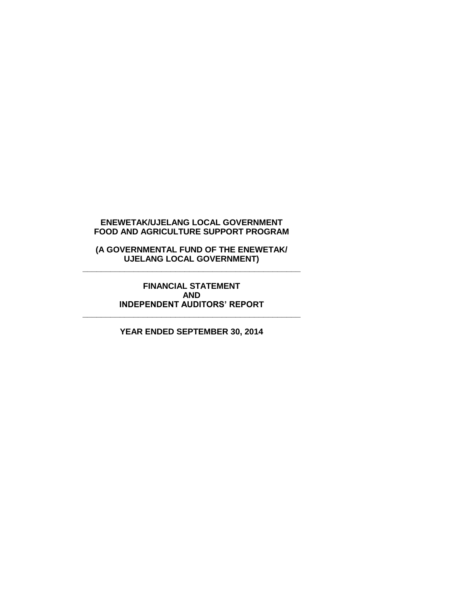**(A GOVERNMENTAL FUND OF THE ENEWETAK/ UJELANG LOCAL GOVERNMENT) \_\_\_\_\_\_\_\_\_\_\_\_\_\_\_\_\_\_\_\_\_\_\_\_\_\_\_\_\_\_\_\_\_\_\_\_\_\_\_\_\_\_\_\_\_\_\_**

> **FINANCIAL STATEMENT AND INDEPENDENT AUDITORS' REPORT**

> **YEAR ENDED SEPTEMBER 30, 2014**

**\_\_\_\_\_\_\_\_\_\_\_\_\_\_\_\_\_\_\_\_\_\_\_\_\_\_\_\_\_\_\_\_\_\_\_\_\_\_\_\_\_\_\_\_\_\_\_**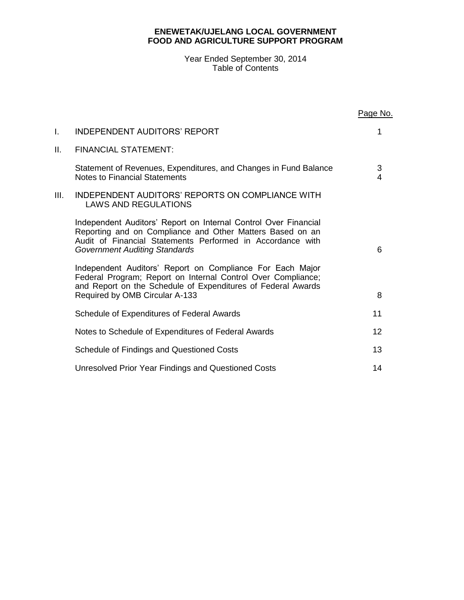Year Ended September 30, 2014 Table of Contents

|      |                                                                                                                                                                                                                                    | Page No. |
|------|------------------------------------------------------------------------------------------------------------------------------------------------------------------------------------------------------------------------------------|----------|
| I.   | <b>INDEPENDENT AUDITORS' REPORT</b>                                                                                                                                                                                                | 1        |
| ΙΙ.  | <b>FINANCIAL STATEMENT:</b>                                                                                                                                                                                                        |          |
|      | Statement of Revenues, Expenditures, and Changes in Fund Balance<br><b>Notes to Financial Statements</b>                                                                                                                           | 3<br>4   |
| III. | INDEPENDENT AUDITORS' REPORTS ON COMPLIANCE WITH<br>LAWS AND REGULATIONS                                                                                                                                                           |          |
|      | Independent Auditors' Report on Internal Control Over Financial<br>Reporting and on Compliance and Other Matters Based on an<br>Audit of Financial Statements Performed in Accordance with<br><b>Government Auditing Standards</b> | 6        |
|      | Independent Auditors' Report on Compliance For Each Major<br>Federal Program; Report on Internal Control Over Compliance;<br>and Report on the Schedule of Expenditures of Federal Awards<br>Required by OMB Circular A-133        | 8        |
|      | Schedule of Expenditures of Federal Awards                                                                                                                                                                                         | 11       |
|      | Notes to Schedule of Expenditures of Federal Awards                                                                                                                                                                                | 12       |
|      | Schedule of Findings and Questioned Costs                                                                                                                                                                                          | 13       |
|      | Unresolved Prior Year Findings and Questioned Costs                                                                                                                                                                                | 14       |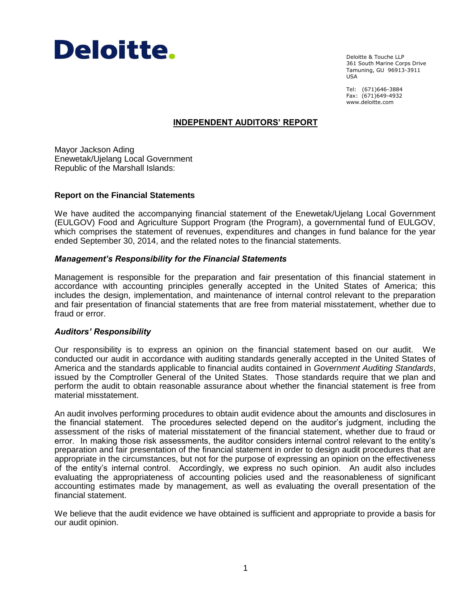

Deloitte & Touche LLP 361 South Marine Corps Drive Tamuning, GU 96913-3911 USA

Tel: (671)646-3884 Fax: (671)649-4932 www.deloitte.com

## **INDEPENDENT AUDITORS' REPORT**

Mayor Jackson Ading Enewetak/Ujelang Local Government Republic of the Marshall Islands:

#### **Report on the Financial Statements**

We have audited the accompanying financial statement of the Enewetak/Ujelang Local Government (EULGOV) Food and Agriculture Support Program (the Program), a governmental fund of EULGOV, which comprises the statement of revenues, expenditures and changes in fund balance for the year ended September 30, 2014, and the related notes to the financial statements.

#### *Management's Responsibility for the Financial Statements*

Management is responsible for the preparation and fair presentation of this financial statement in accordance with accounting principles generally accepted in the United States of America; this includes the design, implementation, and maintenance of internal control relevant to the preparation and fair presentation of financial statements that are free from material misstatement, whether due to fraud or error.

#### *Auditors' Responsibility*

Our responsibility is to express an opinion on the financial statement based on our audit. We conducted our audit in accordance with auditing standards generally accepted in the United States of America and the standards applicable to financial audits contained in *Government Auditing Standards*, issued by the Comptroller General of the United States. Those standards require that we plan and perform the audit to obtain reasonable assurance about whether the financial statement is free from material misstatement.

An audit involves performing procedures to obtain audit evidence about the amounts and disclosures in the financial statement. The procedures selected depend on the auditor's judgment, including the assessment of the risks of material misstatement of the financial statement, whether due to fraud or error. In making those risk assessments, the auditor considers internal control relevant to the entity's preparation and fair presentation of the financial statement in order to design audit procedures that are appropriate in the circumstances, but not for the purpose of expressing an opinion on the effectiveness of the entity's internal control. Accordingly, we express no such opinion. An audit also includes evaluating the appropriateness of accounting policies used and the reasonableness of significant accounting estimates made by management, as well as evaluating the overall presentation of the financial statement.

We believe that the audit evidence we have obtained is sufficient and appropriate to provide a basis for our audit opinion.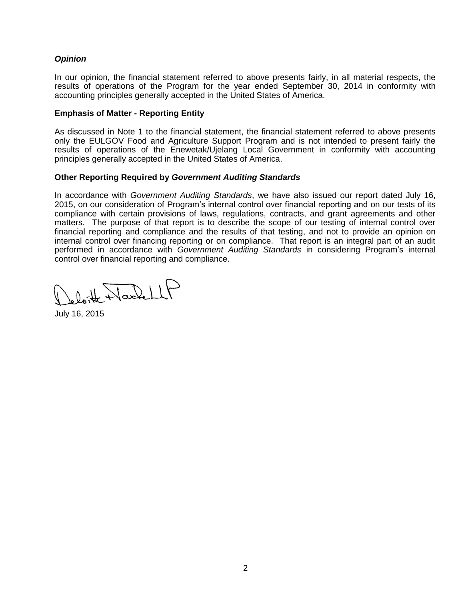## *Opinion*

In our opinion, the financial statement referred to above presents fairly, in all material respects, the results of operations of the Program for the year ended September 30, 2014 in conformity with accounting principles generally accepted in the United States of America.

## **Emphasis of Matter - Reporting Entity**

As discussed in Note 1 to the financial statement, the financial statement referred to above presents only the EULGOV Food and Agriculture Support Program and is not intended to present fairly the results of operations of the Enewetak/Ujelang Local Government in conformity with accounting principles generally accepted in the United States of America.

## **Other Reporting Required by** *Government Auditing Standards*

In accordance with *Government Auditing Standards*, we have also issued our report dated July 16, 2015, on our consideration of Program's internal control over financial reporting and on our tests of its compliance with certain provisions of laws, regulations, contracts, and grant agreements and other matters. The purpose of that report is to describe the scope of our testing of internal control over financial reporting and compliance and the results of that testing, and not to provide an opinion on internal control over financing reporting or on compliance. That report is an integral part of an audit performed in accordance with *Government Auditing Standards* in considering Program's internal control over financial reporting and compliance.

eloite NachellP

July 16, 2015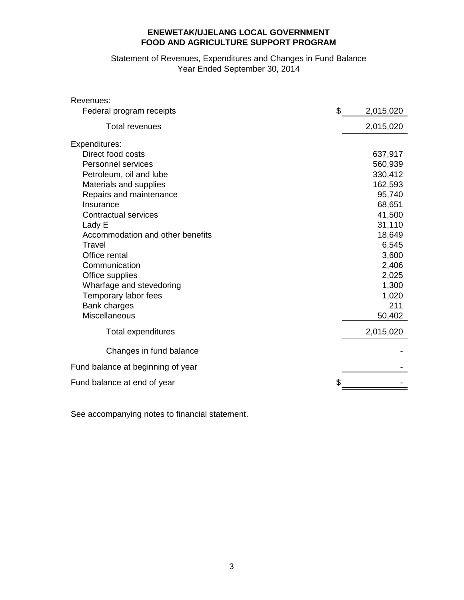# Statement of Revenues, Expenditures and Changes in Fund Balance Year Ended September 30, 2014

| Revenues:                         |                 |
|-----------------------------------|-----------------|
| Federal program receipts          | \$<br>2,015,020 |
| <b>Total revenues</b>             | 2,015,020       |
| Expenditures:                     |                 |
| Direct food costs                 | 637,917         |
| Personnel services                | 560,939         |
| Petroleum, oil and lube           | 330,412         |
| Materials and supplies            | 162,593         |
| Repairs and maintenance           | 95,740          |
| Insurance                         | 68,651          |
| <b>Contractual services</b>       | 41,500          |
| Lady E                            | 31,110          |
| Accommodation and other benefits  | 18,649          |
| Travel                            | 6,545           |
| Office rental                     | 3,600           |
| Communication                     | 2,406           |
| Office supplies                   | 2,025           |
| Wharfage and stevedoring          | 1,300           |
| Temporary labor fees              | 1,020           |
| Bank charges                      | 211             |
| <b>Miscellaneous</b>              | 50,402          |
| <b>Total expenditures</b>         | 2,015,020       |
| Changes in fund balance           |                 |
| Fund balance at beginning of year |                 |
| Fund balance at end of year       |                 |
|                                   |                 |

See accompanying notes to financial statement.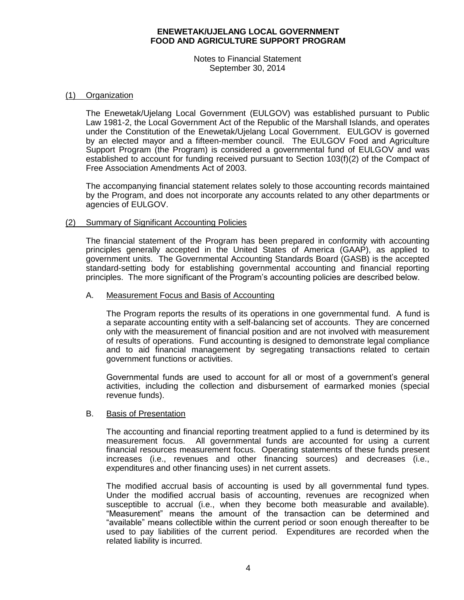Notes to Financial Statement September 30, 2014

#### (1) Organization

The Enewetak/Ujelang Local Government (EULGOV) was established pursuant to Public Law 1981-2, the Local Government Act of the Republic of the Marshall Islands, and operates under the Constitution of the Enewetak/Ujelang Local Government. EULGOV is governed by an elected mayor and a fifteen-member council. The EULGOV Food and Agriculture Support Program (the Program) is considered a governmental fund of EULGOV and was established to account for funding received pursuant to Section 103(f)(2) of the Compact of Free Association Amendments Act of 2003.

The accompanying financial statement relates solely to those accounting records maintained by the Program, and does not incorporate any accounts related to any other departments or agencies of EULGOV.

### (2) Summary of Significant Accounting Policies

The financial statement of the Program has been prepared in conformity with accounting principles generally accepted in the United States of America (GAAP), as applied to government units. The Governmental Accounting Standards Board (GASB) is the accepted standard-setting body for establishing governmental accounting and financial reporting principles. The more significant of the Program's accounting policies are described below.

#### A. Measurement Focus and Basis of Accounting

The Program reports the results of its operations in one governmental fund. A fund is a separate accounting entity with a self-balancing set of accounts. They are concerned only with the measurement of financial position and are not involved with measurement of results of operations. Fund accounting is designed to demonstrate legal compliance and to aid financial management by segregating transactions related to certain government functions or activities.

Governmental funds are used to account for all or most of a government's general activities, including the collection and disbursement of earmarked monies (special revenue funds).

### B. Basis of Presentation

The accounting and financial reporting treatment applied to a fund is determined by its measurement focus. All governmental funds are accounted for using a current financial resources measurement focus. Operating statements of these funds present increases (i.e., revenues and other financing sources) and decreases (i.e., expenditures and other financing uses) in net current assets.

The modified accrual basis of accounting is used by all governmental fund types. Under the modified accrual basis of accounting, revenues are recognized when susceptible to accrual (i.e., when they become both measurable and available). "Measurement" means the amount of the transaction can be determined and "available" means collectible within the current period or soon enough thereafter to be used to pay liabilities of the current period. Expenditures are recorded when the related liability is incurred.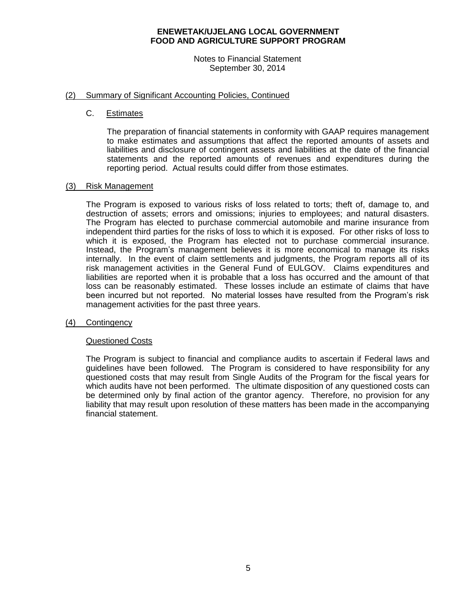Notes to Financial Statement September 30, 2014

## (2) Summary of Significant Accounting Policies, Continued

C. Estimates

The preparation of financial statements in conformity with GAAP requires management to make estimates and assumptions that affect the reported amounts of assets and liabilities and disclosure of contingent assets and liabilities at the date of the financial statements and the reported amounts of revenues and expenditures during the reporting period. Actual results could differ from those estimates.

### (3) Risk Management

The Program is exposed to various risks of loss related to torts; theft of, damage to, and destruction of assets; errors and omissions; injuries to employees; and natural disasters. The Program has elected to purchase commercial automobile and marine insurance from independent third parties for the risks of loss to which it is exposed. For other risks of loss to which it is exposed, the Program has elected not to purchase commercial insurance. Instead, the Program's management believes it is more economical to manage its risks internally. In the event of claim settlements and judgments, the Program reports all of its risk management activities in the General Fund of EULGOV. Claims expenditures and liabilities are reported when it is probable that a loss has occurred and the amount of that loss can be reasonably estimated. These losses include an estimate of claims that have been incurred but not reported. No material losses have resulted from the Program's risk management activities for the past three years.

### (4) Contingency

### Questioned Costs

The Program is subject to financial and compliance audits to ascertain if Federal laws and guidelines have been followed. The Program is considered to have responsibility for any questioned costs that may result from Single Audits of the Program for the fiscal years for which audits have not been performed. The ultimate disposition of any questioned costs can be determined only by final action of the grantor agency. Therefore, no provision for any liability that may result upon resolution of these matters has been made in the accompanying financial statement.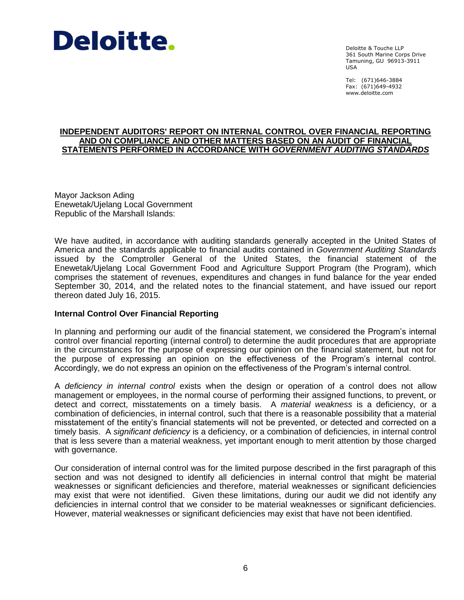

Deloitte & Touche LLP 361 South Marine Corps Drive Tamuning, GU 96913-3911 USA

Tel: (671)646-3884 Fax: (671)649-4932 www.deloitte.com

#### **INDEPENDENT AUDITORS' REPORT ON INTERNAL CONTROL OVER FINANCIAL REPORTING AND ON COMPLIANCE AND OTHER MATTERS BASED ON AN AUDIT OF FINANCIAL STATEMENTS PERFORMED IN ACCORDANCE WITH** *GOVERNMENT AUDITING STANDARDS*

Mayor Jackson Ading Enewetak/Ujelang Local Government Republic of the Marshall Islands:

We have audited, in accordance with auditing standards generally accepted in the United States of America and the standards applicable to financial audits contained in *Government Auditing Standards* issued by the Comptroller General of the United States, the financial statement of the Enewetak/Ujelang Local Government Food and Agriculture Support Program (the Program), which comprises the statement of revenues, expenditures and changes in fund balance for the year ended September 30, 2014, and the related notes to the financial statement, and have issued our report thereon dated July 16, 2015.

### **Internal Control Over Financial Reporting**

In planning and performing our audit of the financial statement, we considered the Program's internal control over financial reporting (internal control) to determine the audit procedures that are appropriate in the circumstances for the purpose of expressing our opinion on the financial statement, but not for the purpose of expressing an opinion on the effectiveness of the Program's internal control. Accordingly, we do not express an opinion on the effectiveness of the Program's internal control.

A *deficiency in internal control* exists when the design or operation of a control does not allow management or employees, in the normal course of performing their assigned functions, to prevent, or detect and correct, misstatements on a timely basis. A *material weakness* is a deficiency, or a combination of deficiencies, in internal control, such that there is a reasonable possibility that a material misstatement of the entity's financial statements will not be prevented, or detected and corrected on a timely basis. A *significant deficiency* is a deficiency, or a combination of deficiencies, in internal control that is less severe than a material weakness, yet important enough to merit attention by those charged with governance.

Our consideration of internal control was for the limited purpose described in the first paragraph of this section and was not designed to identify all deficiencies in internal control that might be material weaknesses or significant deficiencies and therefore, material weaknesses or significant deficiencies may exist that were not identified. Given these limitations, during our audit we did not identify any deficiencies in internal control that we consider to be material weaknesses or significant deficiencies. However, material weaknesses or significant deficiencies may exist that have not been identified.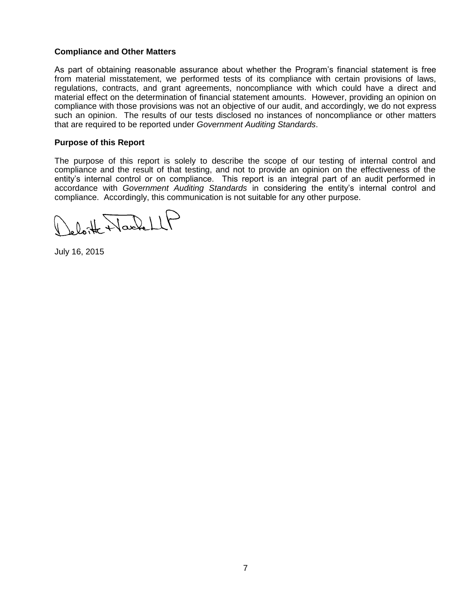### **Compliance and Other Matters**

As part of obtaining reasonable assurance about whether the Program's financial statement is free from material misstatement, we performed tests of its compliance with certain provisions of laws, regulations, contracts, and grant agreements, noncompliance with which could have a direct and material effect on the determination of financial statement amounts. However, providing an opinion on compliance with those provisions was not an objective of our audit, and accordingly, we do not express such an opinion. The results of our tests disclosed no instances of noncompliance or other matters that are required to be reported under *Government Auditing Standards*.

## **Purpose of this Report**

The purpose of this report is solely to describe the scope of our testing of internal control and compliance and the result of that testing, and not to provide an opinion on the effectiveness of the entity's internal control or on compliance. This report is an integral part of an audit performed in accordance with *Government Auditing Standards* in considering the entity's internal control and compliance. Accordingly, this communication is not suitable for any other purpose.

laithe Harlett

July 16, 2015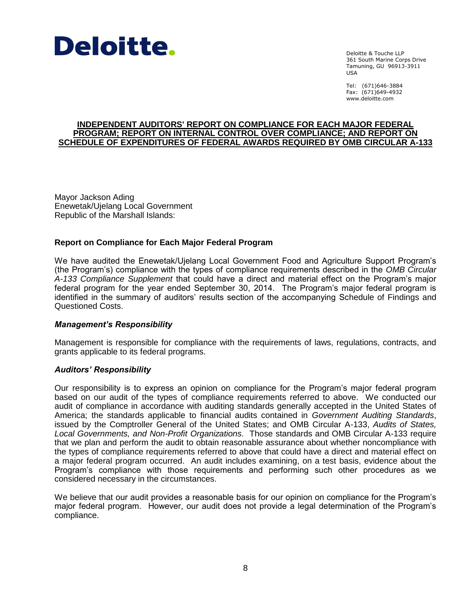

Deloitte & Touche LLP 361 South Marine Corps Drive Tamuning, GU 96913-3911 USA

Tel: (671)646-3884 Fax: (671)649-4932 www.deloitte.com

#### **INDEPENDENT AUDITORS' REPORT ON COMPLIANCE FOR EACH MAJOR FEDERAL PROGRAM; REPORT ON INTERNAL CONTROL OVER COMPLIANCE; AND REPORT ON SCHEDULE OF EXPENDITURES OF FEDERAL AWARDS REQUIRED BY OMB CIRCULAR A-133**

Mayor Jackson Ading Enewetak/Ujelang Local Government Republic of the Marshall Islands:

### **Report on Compliance for Each Major Federal Program**

We have audited the Enewetak/Ujelang Local Government Food and Agriculture Support Program's (the Program's) compliance with the types of compliance requirements described in the *OMB Circular A-133 Compliance Supplement* that could have a direct and material effect on the Program's major federal program for the year ended September 30, 2014. The Program's major federal program is identified in the summary of auditors' results section of the accompanying Schedule of Findings and Questioned Costs.

### *Management's Responsibility*

Management is responsible for compliance with the requirements of laws, regulations, contracts, and grants applicable to its federal programs.

#### *Auditors' Responsibility*

Our responsibility is to express an opinion on compliance for the Program's major federal program based on our audit of the types of compliance requirements referred to above. We conducted our audit of compliance in accordance with auditing standards generally accepted in the United States of America; the standards applicable to financial audits contained in *Government Auditing Standards*, issued by the Comptroller General of the United States; and OMB Circular A-133, *Audits of States, Local Governments, and Non-Profit Organizations*. Those standards and OMB Circular A-133 require that we plan and perform the audit to obtain reasonable assurance about whether noncompliance with the types of compliance requirements referred to above that could have a direct and material effect on a major federal program occurred. An audit includes examining, on a test basis, evidence about the Program's compliance with those requirements and performing such other procedures as we considered necessary in the circumstances.

We believe that our audit provides a reasonable basis for our opinion on compliance for the Program's major federal program. However, our audit does not provide a legal determination of the Program's compliance.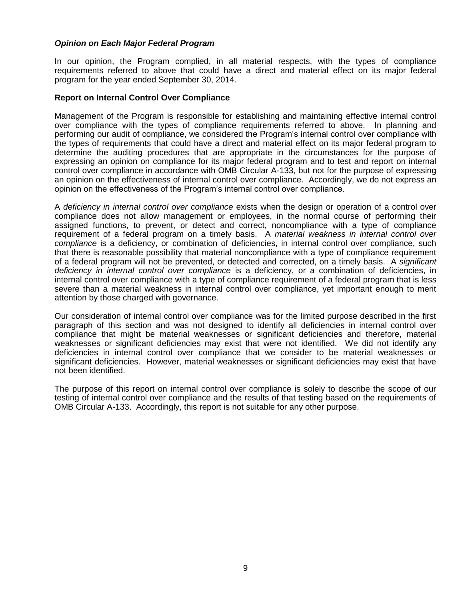## *Opinion on Each Major Federal Program*

In our opinion, the Program complied, in all material respects, with the types of compliance requirements referred to above that could have a direct and material effect on its major federal program for the year ended September 30, 2014.

#### **Report on Internal Control Over Compliance**

Management of the Program is responsible for establishing and maintaining effective internal control over compliance with the types of compliance requirements referred to above. In planning and performing our audit of compliance, we considered the Program's internal control over compliance with the types of requirements that could have a direct and material effect on its major federal program to determine the auditing procedures that are appropriate in the circumstances for the purpose of expressing an opinion on compliance for its major federal program and to test and report on internal control over compliance in accordance with OMB Circular A-133, but not for the purpose of expressing an opinion on the effectiveness of internal control over compliance. Accordingly, we do not express an opinion on the effectiveness of the Program's internal control over compliance.

A *deficiency in internal control over compliance* exists when the design or operation of a control over compliance does not allow management or employees, in the normal course of performing their assigned functions, to prevent, or detect and correct, noncompliance with a type of compliance requirement of a federal program on a timely basis. A *material weakness in internal control over compliance* is a deficiency, or combination of deficiencies, in internal control over compliance, such that there is reasonable possibility that material noncompliance with a type of compliance requirement of a federal program will not be prevented, or detected and corrected, on a timely basis. A *significant deficiency in internal control over compliance* is a deficiency, or a combination of deficiencies, in internal control over compliance with a type of compliance requirement of a federal program that is less severe than a material weakness in internal control over compliance, yet important enough to merit attention by those charged with governance.

Our consideration of internal control over compliance was for the limited purpose described in the first paragraph of this section and was not designed to identify all deficiencies in internal control over compliance that might be material weaknesses or significant deficiencies and therefore, material weaknesses or significant deficiencies may exist that were not identified. We did not identify any deficiencies in internal control over compliance that we consider to be material weaknesses or significant deficiencies. However, material weaknesses or significant deficiencies may exist that have not been identified.

The purpose of this report on internal control over compliance is solely to describe the scope of our testing of internal control over compliance and the results of that testing based on the requirements of OMB Circular A-133. Accordingly, this report is not suitable for any other purpose.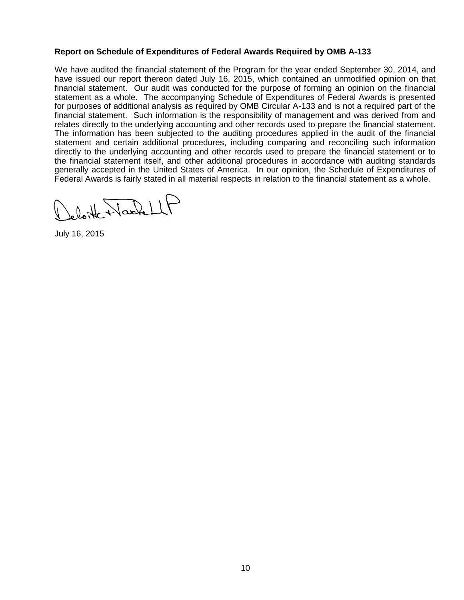## **Report on Schedule of Expenditures of Federal Awards Required by OMB A-133**

We have audited the financial statement of the Program for the year ended September 30, 2014, and have issued our report thereon dated July 16, 2015, which contained an unmodified opinion on that financial statement. Our audit was conducted for the purpose of forming an opinion on the financial statement as a whole. The accompanying Schedule of Expenditures of Federal Awards is presented for purposes of additional analysis as required by OMB Circular A-133 and is not a required part of the financial statement. Such information is the responsibility of management and was derived from and relates directly to the underlying accounting and other records used to prepare the financial statement. The information has been subjected to the auditing procedures applied in the audit of the financial statement and certain additional procedures, including comparing and reconciling such information directly to the underlying accounting and other records used to prepare the financial statement or to the financial statement itself, and other additional procedures in accordance with auditing standards generally accepted in the United States of America. In our opinion, the Schedule of Expenditures of Federal Awards is fairly stated in all material respects in relation to the financial statement as a whole.

forthe Wardell

July 16, 2015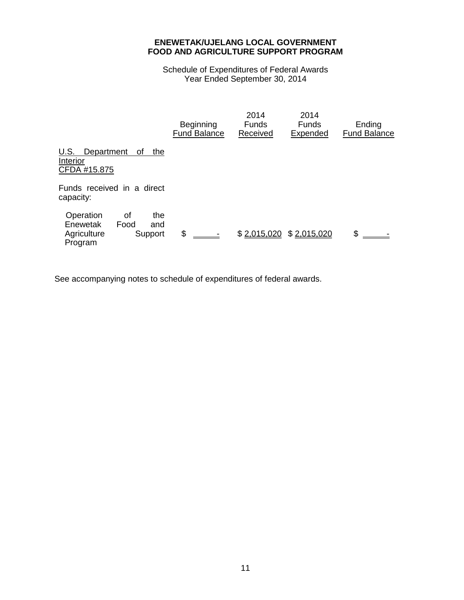Schedule of Expenditures of Federal Awards Year Ended September 30, 2014

|                                                                                        | Beginning<br><b>Fund Balance</b> | 2014<br><b>Funds</b><br>Received | 2014<br><b>Funds</b><br>Expended | Ending<br><b>Fund Balance</b> |
|----------------------------------------------------------------------------------------|----------------------------------|----------------------------------|----------------------------------|-------------------------------|
| U.S.<br>Department<br>the<br>οf<br>Interior<br>CFDA #15.875                            |                                  |                                  |                                  |                               |
| Funds received in a direct<br>capacity:                                                |                                  |                                  |                                  |                               |
| Operation<br>the<br>οf<br>Enewetak<br>Food<br>and<br>Agriculture<br>Support<br>Program | \$                               | \$2,015,020                      | \$2,015,020                      | \$                            |

See accompanying notes to schedule of expenditures of federal awards.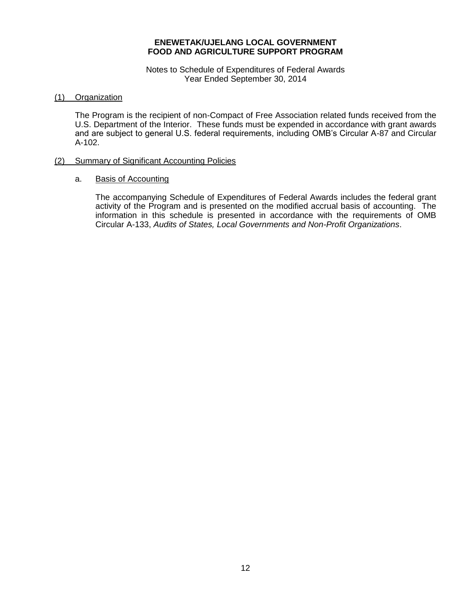Notes to Schedule of Expenditures of Federal Awards Year Ended September 30, 2014

#### (1) Organization

The Program is the recipient of non-Compact of Free Association related funds received from the U.S. Department of the Interior. These funds must be expended in accordance with grant awards and are subject to general U.S. federal requirements, including OMB's Circular A-87 and Circular A-102.

### (2) Summary of Significant Accounting Policies

### a. Basis of Accounting

The accompanying Schedule of Expenditures of Federal Awards includes the federal grant activity of the Program and is presented on the modified accrual basis of accounting. The information in this schedule is presented in accordance with the requirements of OMB Circular A-133, *Audits of States, Local Governments and Non-Profit Organizations*.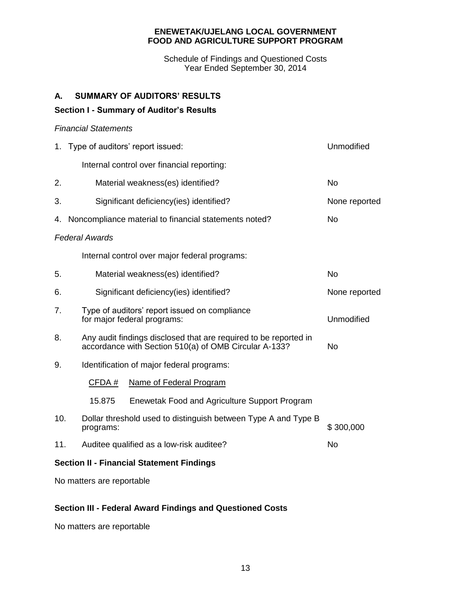Schedule of Findings and Questioned Costs Year Ended September 30, 2014

# **A. SUMMARY OF AUDITORS' RESULTS**

## **Section I - Summary of Auditor's Results**

### *Financial Statements*

|                                                  | 1. Type of auditors' report issued:                                                                                       | Unmodified    |  |  |  |  |
|--------------------------------------------------|---------------------------------------------------------------------------------------------------------------------------|---------------|--|--|--|--|
|                                                  | Internal control over financial reporting:                                                                                |               |  |  |  |  |
| 2.                                               | Material weakness(es) identified?                                                                                         | <b>No</b>     |  |  |  |  |
| 3.                                               | Significant deficiency(ies) identified?                                                                                   | None reported |  |  |  |  |
| 4.                                               | Noncompliance material to financial statements noted?                                                                     | <b>No</b>     |  |  |  |  |
| <b>Federal Awards</b>                            |                                                                                                                           |               |  |  |  |  |
|                                                  | Internal control over major federal programs:                                                                             |               |  |  |  |  |
| 5.                                               | Material weakness(es) identified?                                                                                         | <b>No</b>     |  |  |  |  |
| 6.                                               | Significant deficiency(ies) identified?                                                                                   | None reported |  |  |  |  |
| 7.                                               | Type of auditors' report issued on compliance<br>for major federal programs:                                              | Unmodified    |  |  |  |  |
| 8.                                               | Any audit findings disclosed that are required to be reported in<br>accordance with Section 510(a) of OMB Circular A-133? | <b>No</b>     |  |  |  |  |
| 9.                                               | Identification of major federal programs:                                                                                 |               |  |  |  |  |
|                                                  | Name of Federal Program<br>CFDA#                                                                                          |               |  |  |  |  |
|                                                  | 15.875<br>Enewetak Food and Agriculture Support Program                                                                   |               |  |  |  |  |
| 10.                                              | Dollar threshold used to distinguish between Type A and Type B<br>programs:                                               | \$300,000     |  |  |  |  |
| 11.                                              | Auditee qualified as a low-risk auditee?                                                                                  | <b>No</b>     |  |  |  |  |
| <b>Section II - Financial Statement Findings</b> |                                                                                                                           |               |  |  |  |  |

No matters are reportable

# **Section III - Federal Award Findings and Questioned Costs**

No matters are reportable